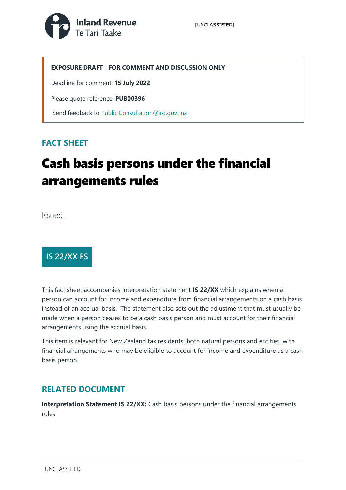

#### **EXPOSURE DRAFT - FOR COMMENT AND DISCUSSION ONLY**

Deadline for comment: **15 July 2022**

Please quote reference: **PUB00396**

Send feedback to [Public.Consultation@ird.govt.nz](mailto:Public.Consultation@ird.govt.nz)

### **FACT SHEET**

# Cash basis persons under the financial arrangements rules

Issued:



This fact sheet accompanies interpretation statement **IS 22/XX** which explains when a person can account for income and expenditure from financial arrangements on a cash basis instead of an accrual basis. The statement also sets out the adjustment that must usually be made when a person ceases to be a cash basis person and must account for their financial arrangements using the accrual basis.

This item is relevant for New Zealand tax residents, both natural persons and entities, with financial arrangements who may be eligible to account for income and expenditure as a cash basis person.

#### **RELATED DOCUMENT**

**Interpretation Statement IS 22/XX:** Cash basis persons under the financial arrangements rules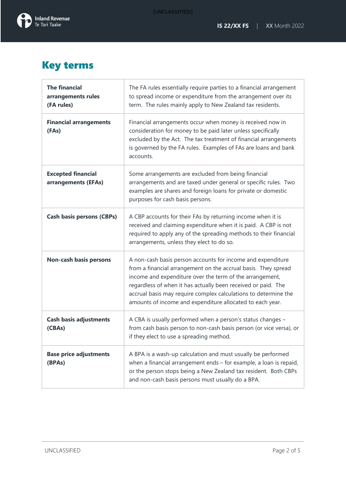

### Key terms

| <b>The financial</b><br>arrangements rules<br>(FA rules) | The FA rules essentially require parties to a financial arrangement<br>to spread income or expenditure from the arrangement over its<br>term. The rules mainly apply to New Zealand tax residents.                                                                                                                                                                                         |
|----------------------------------------------------------|--------------------------------------------------------------------------------------------------------------------------------------------------------------------------------------------------------------------------------------------------------------------------------------------------------------------------------------------------------------------------------------------|
| <b>Financial arrangements</b><br>(FAs)                   | Financial arrangements occur when money is received now in<br>consideration for money to be paid later unless specifically<br>excluded by the Act. The tax treatment of financial arrangements<br>is governed by the FA rules. Examples of FAs are loans and bank<br>accounts.                                                                                                             |
| <b>Excepted financial</b><br>arrangements (EFAs)         | Some arrangements are excluded from being financial<br>arrangements and are taxed under general or specific rules. Two<br>examples are shares and foreign loans for private or domestic<br>purposes for cash basis persons.                                                                                                                                                                |
| <b>Cash basis persons (CBPs)</b>                         | A CBP accounts for their FAs by returning income when it is<br>received and claiming expenditure when it is paid. A CBP is not<br>required to apply any of the spreading methods to their financial<br>arrangements, unless they elect to do so.                                                                                                                                           |
| <b>Non-cash basis persons</b>                            | A non-cash basis person accounts for income and expenditure<br>from a financial arrangement on the accrual basis. They spread<br>income and expenditure over the term of the arrangement,<br>regardless of when it has actually been received or paid. The<br>accrual basis may require complex calculations to determine the<br>amounts of income and expenditure allocated to each year. |
| <b>Cash basis adjustments</b><br>(CBAs)                  | A CBA is usually performed when a person's status changes -<br>from cash basis person to non-cash basis person (or vice versa), or<br>if they elect to use a spreading method.                                                                                                                                                                                                             |
| <b>Base price adjustments</b><br>(BPAs)                  | A BPA is a wash-up calculation and must usually be performed<br>when a financial arrangement ends - for example, a loan is repaid,<br>or the person stops being a New Zealand tax resident. Both CBPs<br>and non-cash basis persons must usually do a BPA.                                                                                                                                 |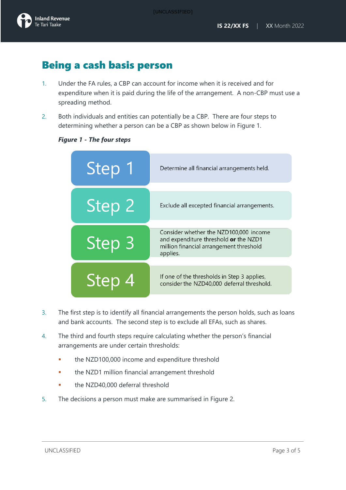[UNCLASSIFIED]



### Being a cash basis person

- 1. Under the FA rules, a CBP can account for income when it is received and for expenditure when it is paid during the life of the arrangement. A non-CBP must use a spreading method.
- 2. Both individuals and entities can potentially be a CBP. There are four steps to determining whether a person can be a CBP as shown below in Figure 1.



#### *Figure 1 - The four steps*

- 3. The first step is to identify all financial arrangements the person holds, such as loans and bank accounts. The second step is to exclude all EFAs, such as shares.
- 4. The third and fourth steps require calculating whether the person's financial arrangements are under certain thresholds:
	- the NZD100,000 income and expenditure threshold
	- the NZD1 million financial arrangement threshold
	- the NZD40,000 deferral threshold
- 5. The decisions a person must make are summarised in Figure 2.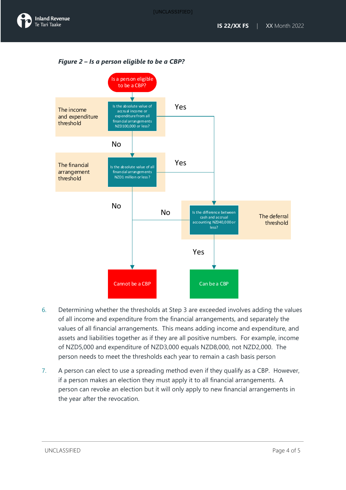*Figure 2 – Is a person eligible to be a CBP?*



- 6. Determining whether the thresholds at Step 3 are exceeded involves adding the values of all income and expenditure from the financial arrangements, and separately the values of all financial arrangements. This means adding income and expenditure, and assets and liabilities together as if they are all positive numbers. For example, income of NZD5,000 and expenditure of NZD3,000 equals NZD8,000, not NZD2,000. The person needs to meet the thresholds each year to remain a cash basis person
- 7. A person can elect to use a spreading method even if they qualify as a CBP. However, if a person makes an election they must apply it to all financial arrangements. A person can revoke an election but it will only apply to new financial arrangements in the year after the revocation.